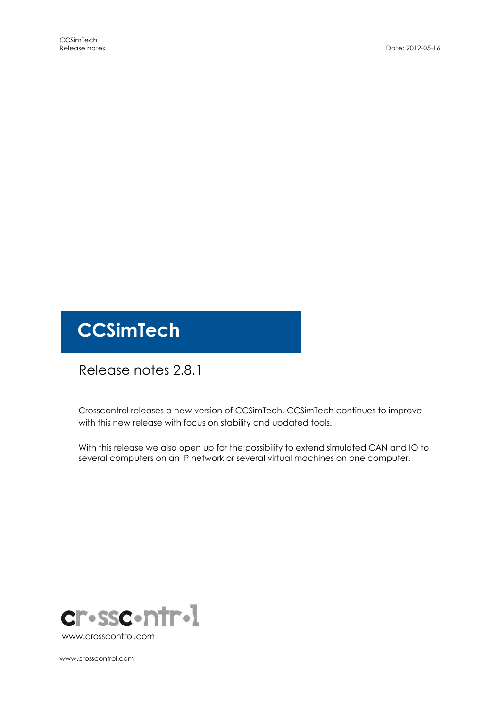# **CCSimTech**

# Release notes 2.8.1

Crosscontrol releases a new version of CCSimTech. CCSimTech continues to improve with this new release with focus on stability and updated tools.

With this release we also open up for the possibility to extend simulated CAN and IO to several computers on an IP network or several virtual machines on one computer.



www.crosscontrol.com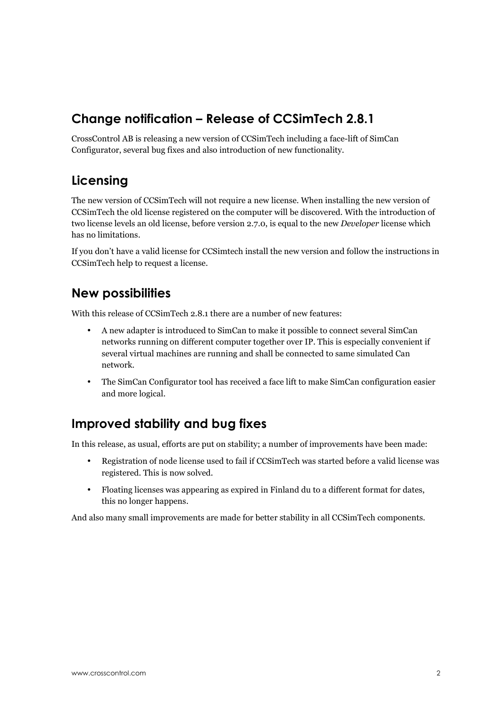## Change notification – Release of CCSimTech 2.8.1

CrossControl AB is releasing a new version of CCSimTech including a face-lift of SimCan Configurator, several bug fixes and also introduction of new functionality.

## Licensing

The new version of CCSimTech will not require a new license. When installing the new version of CCSimTech the old license registered on the computer will be discovered. With the introduction of two license levels an old license, before version 2.7.0, is equal to the new Developer license which has no limitations.

If you don't have a valid license for CCSimtech install the new version and follow the instructions in CCSimTech help to request a license.

#### New possibilities

With this release of CCSimTech 2.8.1 there are a number of new features:

- A new adapter is introduced to SimCan to make it possible to connect several SimCan networks running on different computer together over IP. This is especially convenient if several virtual machines are running and shall be connected to same simulated Can network.
- The SimCan Configurator tool has received a face lift to make SimCan configuration easier and more logical.

# Improved stability and bug fixes

In this release, as usual, efforts are put on stability; a number of improvements have been made:

- Registration of node license used to fail if CCSimTech was started before a valid license was registered. This is now solved.
- Floating licenses was appearing as expired in Finland du to a different format for dates, this no longer happens.

And also many small improvements are made for better stability in all CCSimTech components.